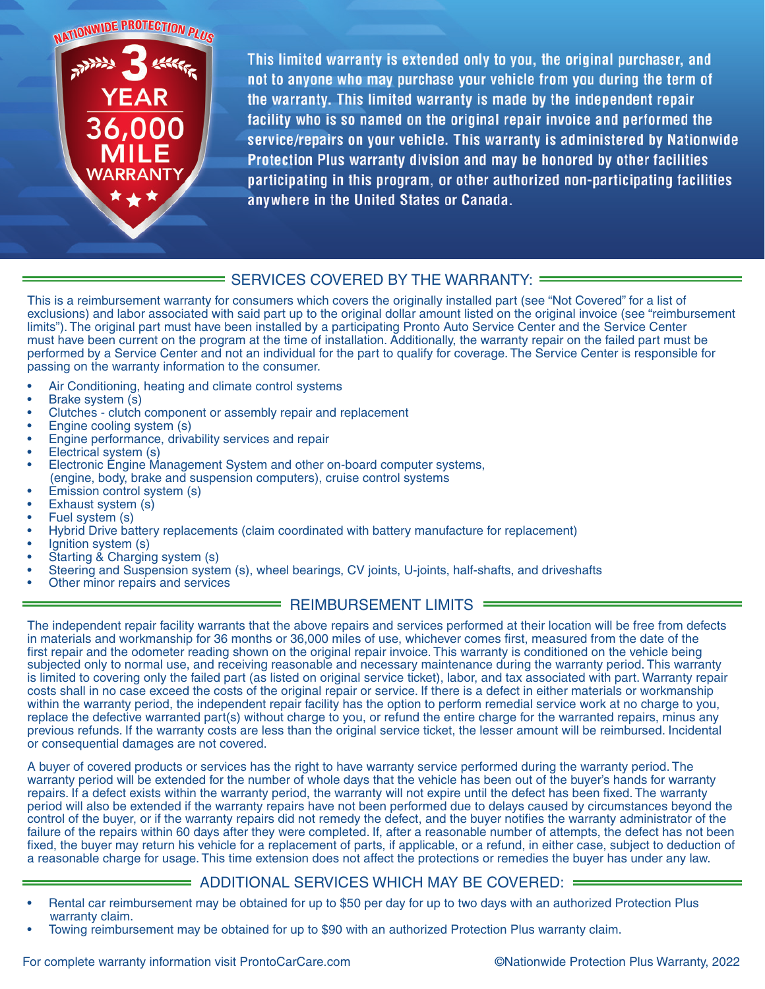NATIONWIDE PROTECTION PLUS



This limited warranty is extended only to you, the original purchaser, and not to anyone who may purchase your vehicle from you during the term of the warranty. This limited warranty is made by the independent repair facility who is so named on the original repair invoice and performed the service/repairs on your vehicle. This warranty is administered by Nationwide Protection Plus warranty division and may be honored by other facilities participating in this program, or other authorized non-participating facilities anywhere in the United States or Canada.

## = SERVICES COVERED BY THE WARRANTY: =

This is a reimbursement warranty for consumers which covers the originally installed part (see "Not Covered" for a list of exclusions) and labor associated with said part up to the original dollar amount listed on the original invoice (see "reimbursement limits"). The original part must have been installed by a participating Pronto Auto Service Center and the Service Center must have been current on the program at the time of installation. Additionally, the warranty repair on the failed part must be performed by a Service Center and not an individual for the part to qualify for coverage. The Service Center is responsible for passing on the warranty information to the consumer.

- Air Conditioning, heating and climate control systems
- Brake system (s)
- Clutches clutch component or assembly repair and replacement
- Engine cooling system (s)
- Engine performance, drivability services and repair
- Electrical system (s)
- Electronic Engine Management System and other on-board computer systems, (engine, body, brake and suspension computers), cruise control systems
- Emission control system (s)
- Exhaust system (s)
- Fuel system (s)
- Hybrid Drive battery replacements (claim coordinated with battery manufacture for replacement)
- Ignition system (s)
- Starting & Charging system (s)
- Steering and Suspension system (s), wheel bearings, CV joints, U-joints, half-shafts, and driveshafts
- Other minor repairs and services

### REIMBURSEMENT LIMITS =

The independent repair facility warrants that the above repairs and services performed at their location will be free from defects in materials and workmanship for 36 months or 36,000 miles of use, whichever comes first, measured from the date of the first repair and the odometer reading shown on the original repair invoice. This warranty is conditioned on the vehicle being subjected only to normal use, and receiving reasonable and necessary maintenance during the warranty period. This warranty is limited to covering only the failed part (as listed on original service ticket), labor, and tax associated with part. Warranty repair costs shall in no case exceed the costs of the original repair or service. If there is a defect in either materials or workmanship within the warranty period, the independent repair facility has the option to perform remedial service work at no charge to you, replace the defective warranted part(s) without charge to you, or refund the entire charge for the warranted repairs, minus any previous refunds. If the warranty costs are less than the original service ticket, the lesser amount will be reimbursed. Incidental or consequential damages are not covered.

A buyer of covered products or services has the right to have warranty service performed during the warranty period. The warranty period will be extended for the number of whole days that the vehicle has been out of the buyer's hands for warranty repairs. If a defect exists within the warranty period, the warranty will not expire until the defect has been fixed. The warranty period will also be extended if the warranty repairs have not been performed due to delays caused by circumstances beyond the control of the buyer, or if the warranty repairs did not remedy the defect, and the buyer notifies the warranty administrator of the failure of the repairs within 60 days after they were completed. If, after a reasonable number of attempts, the defect has not been fixed, the buyer may return his vehicle for a replacement of parts, if applicable, or a refund, in either case, subject to deduction of a reasonable charge for usage. This time extension does not affect the protections or remedies the buyer has under any law.

### ADDITIONAL SERVICES WHICH MAY BE COVERED:

- Rental car reimbursement may be obtained for up to \$50 per day for up to two days with an authorized Protection Plus warranty claim.
- Towing reimbursement may be obtained for up to \$90 with an authorized Protection Plus warranty claim.